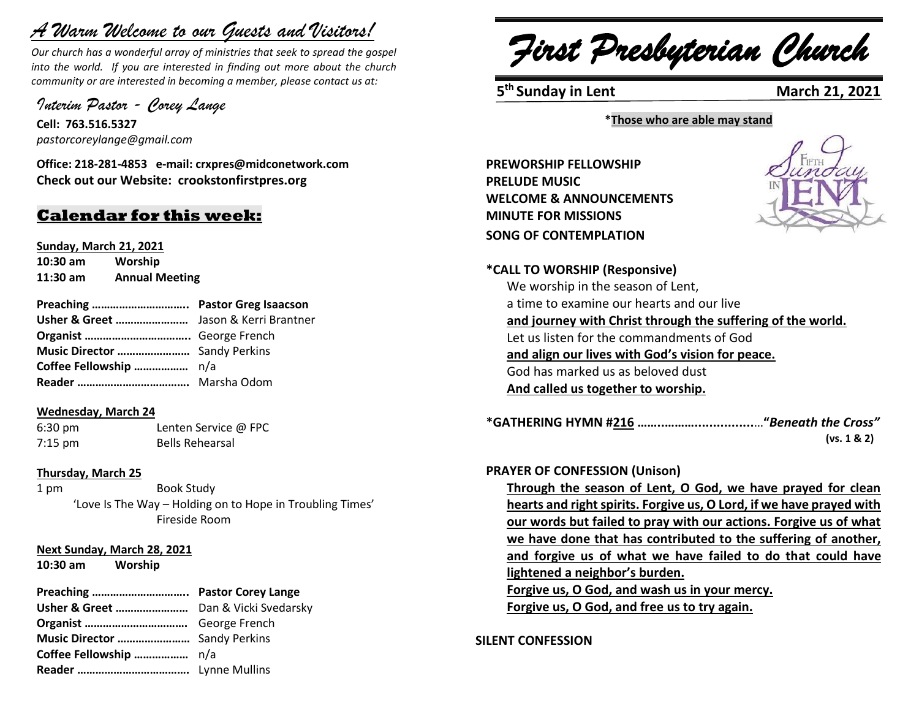# *A Warm Welcome to our Guests and Visitors!*

*Our church has a wonderful array of ministries that seek to spread the gospel into the world. If you are interested in finding out more about the church community or are interested in becoming a member, please contact us at:*

*Interim Pastor - Corey Lange*

**Cell: 763.516.5327** *pastorcoreylange@gmail.com*

**Office: 218-281-4853 e-mail: crxpres@midconetwork.com Check out our Website: crookstonfirstpres.org**

# **Calendar for this week:**

**Sunday, March 21, 2021 10:30 am Worship**

**11:30 am Annual Meeting**

**Preaching ………………………….. Pastor Greg Isaacson Usher & Greet ……………………** Jason & Kerri Brantner **Organist ……………………………..** George French **Music Director ……………………** Sandy Perkins **Coffee Fellowship ………………** n/a **Reader ……………………………….** Marsha Odom

#### **Wednesday, March 24**

6:30 pm Lenten Service @ FPC 7:15 pm Bells Rehearsal

#### **Thursday, March 25**

1 pm Book Study 'Love Is The Way – Holding on to Hope in Troubling Times' Fireside Room

#### **Next Sunday, March 28, 2021**

**10:30 am Worship**

## **Preaching ………………………….. Pastor Corey Lange**

**Usher & Greet ……………………** Dan & Vicki Svedarsky **Organist …………………………….** George French **Music Director ……………………** Sandy Perkins **Coffee Fellowship ………………** n/a **Reader ……………………………….** Lynne Mullins

*First Presbyterian Church*

**5<sup>th</sup> Sunday in Lent** March 21, 2021

**\*Those who are able may stand**

**PREWORSHIP FELLOWSHIP PRELUDE MUSIC WELCOME & ANNOUNCEMENTS MINUTE FOR MISSIONS SONG OF CONTEMPLATION** 



**\*CALL TO WORSHIP (Responsive)** 

We worship in the season of Lent, a time to examine our hearts and our live **and journey with Christ through the suffering of the world.** Let us listen for the commandments of God **and align our lives with God's vision for peace.** God has marked us as beloved dust **And called us together to worship.**

**\*GATHERING HYMN #216 ……..………................**…**"***Beneath the Cross"*  **(vs. 1 & 2)**

#### **PRAYER OF CONFESSION (Unison)**

**Through the season of Lent, O God, we have prayed for clean hearts and right spirits. Forgive us, O Lord, if we have prayed with our words but failed to pray with our actions. Forgive us of what we have done that has contributed to the suffering of another, and forgive us of what we have failed to do that could have lightened a neighbor's burden. Forgive us, O God, and wash us in your mercy.** 

**Forgive us, O God, and free us to try again.**

**SILENT CONFESSION**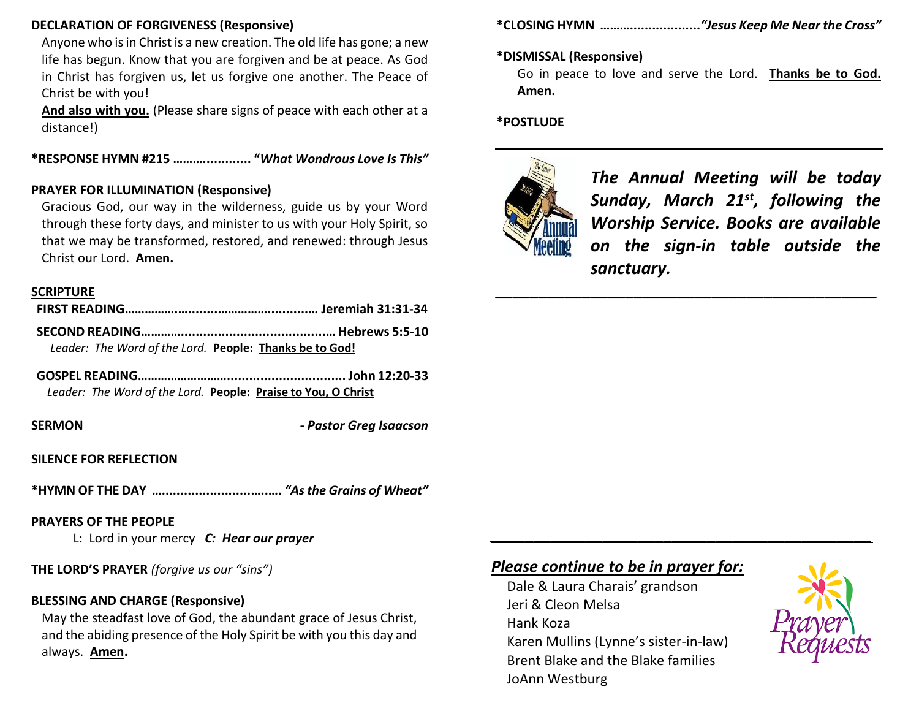#### **DECLARATION OF FORGIVENESS (Responsive)**

Anyone who is in Christ is a new creation. The old life has gone; a new life has begun. Know that you are forgiven and be at peace. As God in Christ has forgiven us, let us forgive one another. The Peace of Christ be with you!

**And also with you.** (Please share signs of peace with each other at a distance!)

**\*RESPONSE HYMN #215 ………............. "***What Wondrous Love Is This"*

#### **PRAYER FOR ILLUMINATION (Responsive)**

Gracious God, our way in the wilderness, guide us by your Word through these forty days, and minister to us with your Holy Spirit, so that we may be transformed, restored, and renewed: through Jesus Christ our Lord. **Amen.**

#### **SCRIPTURE**

| Leader: The Word of the Lord. People: Thanks be to God! |  |
|---------------------------------------------------------|--|

**GOSPEL READING………………………................................ John 12:20-33** *Leader: The Word of the Lord.* **People: Praise to You, O Christ**

**SERMON -** *Pastor Greg Isaacson*

#### **SILENCE FOR REFLECTION**

**\*HYMN OF THE DAY …........................…..….** *"As the Grains of Wheat"*

#### **PRAYERS OF THE PEOPLE**

L: Lord in your mercy *C: Hear our prayer*

**THE LORD'S PRAYER** *(forgive us our "sins")* 

## **BLESSING AND CHARGE (Responsive)**

May the steadfast love of God, the abundant grace of Jesus Christ, and the abiding presence of the Holy Spirit be with you this day and always. **Amen.**

**\*CLOSING HYMN ………...................***"Jesus Keep Me Near the Cross"*

#### **\*DISMISSAL (Responsive)**

Go in peace to love and serve the Lord. **Thanks be to God. Amen.**

*\_\_\_\_\_\_\_\_\_\_\_\_\_\_\_\_\_\_\_\_\_\_\_\_\_\_\_\_\_\_\_\_\_\_\_\_\_\_\_\_\_\_\_\_*

*\_\_\_\_\_\_\_\_\_\_\_\_\_\_\_\_\_\_\_\_\_\_\_\_\_\_\_\_\_\_\_\_\_\_\_\_\_\_\_\_\_\_\_\_*

#### **\*POSTLUDE**



*The Annual Meeting will be today Sunday, March 21st, following the Worship Service. Books are available on the sign-in table outside the sanctuary.*

# *Please continue to be in prayer for:*

Dale & Laura Charais' grandson Jeri & Cleon Melsa Hank Koza Karen Mullins (Lynne's sister-in-law) Brent Blake and the Blake families JoAnn Westburg

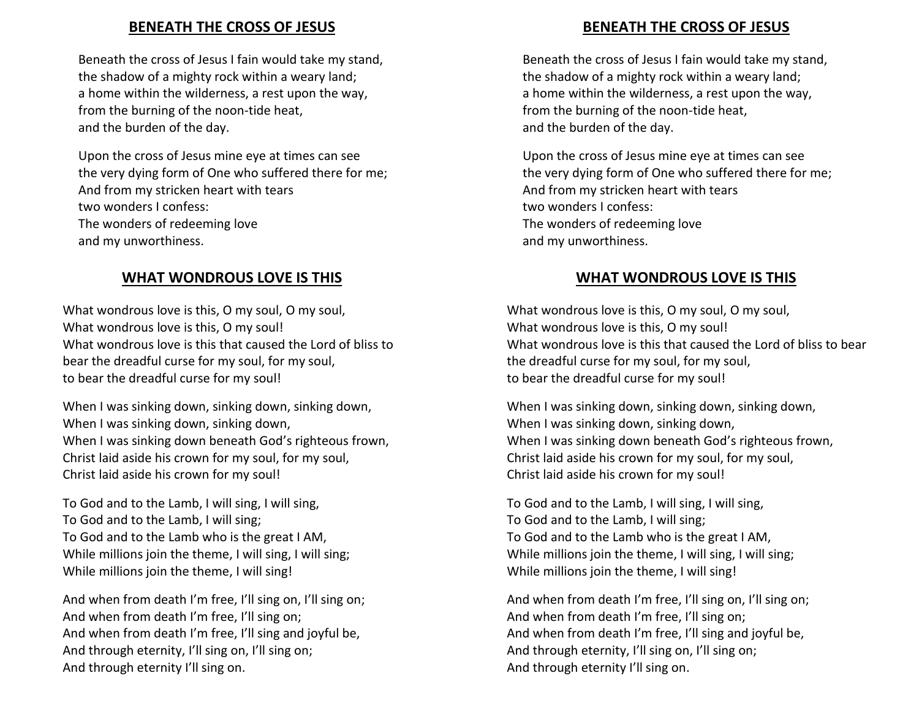## **BENEATH THE CROSS OF JESUS**

Beneath the cross of Jesus I fain would take my stand, the shadow of a mighty rock within a weary land; a home within the wilderness, a rest upon the way, from the burning of the noon-tide heat, and the burden of the day.

Upon the cross of Jesus mine eye at times can see the very dying form of One who suffered there for me; And from my stricken heart with tears two wonders I confess: The wonders of redeeming love and my unworthiness.

## **WHAT WONDROUS LOVE IS THIS**

What wondrous love is this, O my soul, O my soul, What wondrous love is this, O my soul! What wondrous love is this that caused the Lord of bliss to bear the dreadful curse for my soul, for my soul, to bear the dreadful curse for my soul!

When I was sinking down, sinking down, sinking down, When I was sinking down, sinking down, When I was sinking down beneath God's righteous frown, Christ laid aside his crown for my soul, for my soul, Christ laid aside his crown for my soul!

To God and to the Lamb, I will sing, I will sing, To God and to the Lamb, I will sing; To God and to the Lamb who is the great I AM, While millions join the theme, I will sing, I will sing; While millions join the theme, I will sing!

And when from death I'm free, I'll sing on, I'll sing on; And when from death I'm free, I'll sing on; And when from death I'm free, I'll sing and joyful be, And through eternity, I'll sing on, I'll sing on; And through eternity I'll sing on.

## **BENEATH THE CROSS OF JESUS**

Beneath the cross of Jesus I fain would take my stand, the shadow of a mighty rock within a weary land; a home within the wilderness, a rest upon the way, from the burning of the noon-tide heat, and the burden of the day.

Upon the cross of Jesus mine eye at times can see the very dying form of One who suffered there for me; And from my stricken heart with tears two wonders I confess: The wonders of redeeming love and my unworthiness.

## **WHAT WONDROUS LOVE IS THIS**

What wondrous love is this, O my soul, O my soul, What wondrous love is this, O my soul! What wondrous love is this that caused the Lord of bliss to bear the dreadful curse for my soul, for my soul, to bear the dreadful curse for my soul!

When I was sinking down, sinking down, sinking down, When I was sinking down, sinking down, When I was sinking down beneath God's righteous frown, Christ laid aside his crown for my soul, for my soul, Christ laid aside his crown for my soul!

To God and to the Lamb, I will sing, I will sing, To God and to the Lamb, I will sing; To God and to the Lamb who is the great I AM, While millions join the theme, I will sing, I will sing; While millions join the theme, I will sing!

And when from death I'm free, I'll sing on, I'll sing on; And when from death I'm free, I'll sing on; And when from death I'm free, I'll sing and joyful be, And through eternity, I'll sing on, I'll sing on; And through eternity I'll sing on.